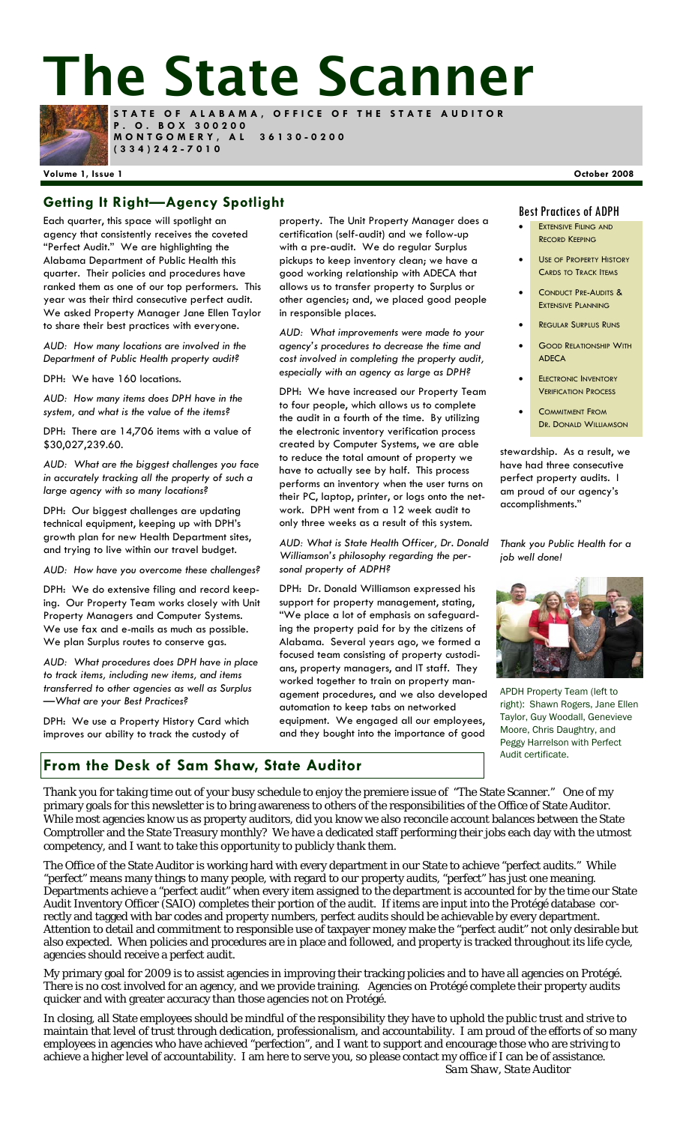# **The State Scanner**



**STATE OF ALABAMA, OFFICE OF THE STATE AUDITOR P . O . B O X 3 0 0 2 0 0 MONTGOMERY, AL 36130-0200 (334)242-7010** 

#### **Volume 1, Issue 1 October 2008**

### **Getting It Right—Agency Spotlight Best Practices of ADPH**

Each quarter, this space will spotlight an agency that consistently receives the coveted "Perfect Audit." We are highlighting the Alabama Department of Public Health this quarter. Their policies and procedures have ranked them as one of our top performers. This year was their third consecutive perfect audit. We asked Property Manager Jane Ellen Taylor to share their best practices with everyone.

*AUD: How many locations are involved in the Department of Public Health property audit?* 

DPH: We have 160 locations.

*AUD: How many items does DPH have in the system, and what is the value of the items?* 

DPH: There are 14,706 items with a value of \$30,027,239.60.

*AUD: What are the biggest challenges you face in accurately tracking all the property of such a large agency with so many locations?* 

DPH: Our biggest challenges are updating technical equipment, keeping up with DPH's growth plan for new Health Department sites, and trying to live within our travel budget.

*AUD: How have you overcome these challenges?* 

DPH: We do extensive filing and record keeping. Our Property Team works closely with Unit Property Managers and Computer Systems. We use fax and e-mails as much as possible. We plan Surplus routes to conserve gas.

*AUD: What procedures does DPH have in place to track items, including new items, and items transferred to other agencies as well as Surplus —What are your Best Practices?* 

DPH: We use a Property History Card which improves our ability to track the custody of

property. The Unit Property Manager does a certification (self-audit) and we follow-up with a pre-audit. We do regular Surplus pickups to keep inventory clean; we have a good working relationship with ADECA that allows us to transfer property to Surplus or other agencies; and, we placed good people in responsible places.

*AUD: What improvements were made to your agency's procedures to decrease the time and cost involved in completing the property audit, especially with an agency as large as DPH?* 

DPH: We have increased our Property Team to four people, which allows us to complete the audit in a fourth of the time. By utilizing the electronic inventory verification process created by Computer Systems, we are able to reduce the total amount of property we have to actually see by half. This process performs an inventory when the user turns on their PC, laptop, printer, or logs onto the network. DPH went from a 12 week audit to only three weeks as a result of this system.

*AUD: What is State Health Officer, Dr. Donald Williamson's philosophy regarding the personal property of ADPH?* 

DPH: Dr. Donald Williamson expressed his support for property management, stating, "We place a lot of emphasis on safeguarding the property paid for by the citizens of Alabama. Several years ago, we formed a focused team consisting of property custodians, property managers, and IT staff. They worked together to train on property management procedures, and we also developed automation to keep tabs on networked equipment. We engaged all our employees, and they bought into the importance of good

- **EXTENSIVE FILING AND** RECORD KEEPING
- USE OF PROPERTY HISTORY CARDS TO TRACK ITEMS
- CONDUCT PRE-AUDITS & EXTENSIVE PLANNING
- **REGULAR SURPLUS RUNS**
- **GOOD RELATIONSHIP WITH ADECA**
- **ELECTRONIC INVENTORY** VERIFICATION PROCESS
	- COMMITMENT FROM DR. DONALD WILLIAMSON

stewardship. As a result, we have had three consecutive perfect property audits. I am proud of our agency's accomplishments."

*Thank you Public Health for a job well done!* 



APDH Property Team (left to right): Shawn Rogers, Jane Ellen Taylor, Guy Woodall, Genevieve Moore, Chris Daughtry, and Peggy Harrelson with Perfect Audit certificate.

#### **From the Desk of Sam Shaw, State Auditor**

Thank you for taking time out of your busy schedule to enjoy the premiere issue of "The State Scanner." One of my primary goals for this newsletter is to bring awareness to others of the responsibilities of the Office of State Auditor. While most agencies know us as property auditors, did you know we also reconcile account balances between the State Comptroller and the State Treasury monthly? We have a dedicated staff performing their jobs each day with the utmost competency, and I want to take this opportunity to publicly thank them.

The Office of the State Auditor is working hard with every department in our State to achieve "perfect audits." While "perfect" means many things to many people, with regard to our property audits, "perfect" has just one meaning. Departments achieve a "perfect audit" when every item assigned to the department is accounted for by the time our State Audit Inventory Officer (SAIO) completes their portion of the audit. If items are input into the Protégé database correctly and tagged with bar codes and property numbers, perfect audits should be achievable by every department. Attention to detail and commitment to responsible use of taxpayer money make the "perfect audit" not only desirable but also expected. When policies and procedures are in place and followed, and property is tracked throughout its life cycle, agencies should receive a perfect audit.

My primary goal for 2009 is to assist agencies in improving their tracking policies and to have all agencies on Protégé. There is no cost involved for an agency, and we provide training. Agencies on Protégé complete their property audits quicker and with greater accuracy than those agencies not on Protégé.

In closing, all State employees should be mindful of the responsibility they have to uphold the public trust and strive to maintain that level of trust through dedication, professionalism, and accountability. I am proud of the efforts of so many employees in agencies who have achieved "perfection", and I want to support and encourage those who are striving to achieve a higher level of accountability. I am here to serve you, so please contact my office if I can be of assistance. *Sam Shaw, State Auditor*